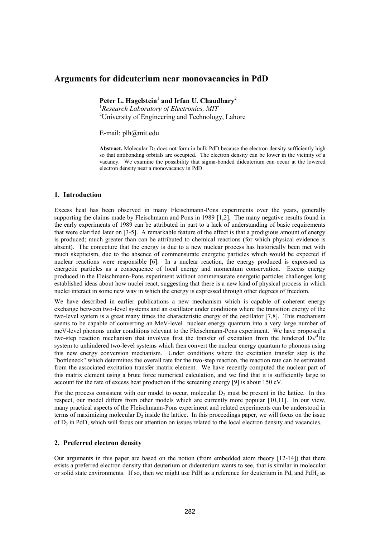# **Arguments for dideuterium near monovacancies in PdD**

Peter L. Hagelstein<sup>1</sup> and Irfan U. Chaudhary<sup>2</sup>

<sup>1</sup>*Research Laboratory of Electronics, MIT*  <sup>2</sup>University of Engineering and Technology, Lahore

E-mail: plh@mit.edu

**Abstract.** Molecular  $D_2$  does not form in bulk PdD because the electron density sufficiently high so that antibonding orbitals are occupied. The electron density can be lower in the vicinity of a vacancy. We examine the possibility that sigma-bonded dideuterium can occur at the lowered electron density near a monovacancy in PdD.

## **1. Introduction**

Excess heat has been observed in many Fleischmann-Pons experiments over the years, generally supporting the claims made by Fleischmann and Pons in 1989 [1,2]. The many negative results found in the early experiments of 1989 can be attributed in part to a lack of understanding of basic requirements that were clarified later on [3-5]. A remarkable feature of the effect is that a prodigious amount of energy is produced; much greater than can be attributed to chemical reactions (for which physical evidence is absent). The conjecture that the energy is due to a new nuclear process has historically been met with much skepticism, due to the absence of commensurate energetic particles which would be expected if nuclear reactions were responsible [6]. In a nuclear reaction, the energy produced is expressed as energetic particles as a consequence of local energy and momentum conservation. Excess energy produced in the Fleischmann-Pons experiment without commensurate energetic particles challenges long established ideas about how nuclei react, suggesting that there is a new kind of physical process in which nuclei interact in some new way in which the energy is expressed through other degrees of freedom.

We have described in earlier publications a new mechanism which is capable of coherent energy exchange between two-level systems and an oscillator under conditions where the transition energy of the two-level system is a great many times the characteristic energy of the oscillator [7,8]. This mechanism seems to be capable of converting an MeV-level nuclear energy quantum into a very large number of meV-level phonons under conditions relevant to the Fleischmann-Pons experiment. We have proposed a two-step reaction mechanism that involves first the transfer of excitation from the hindered  $D_2$ <sup>4</sup>He system to unhindered two-level systems which then convert the nuclear energy quantum to phonons using this new energy conversion mechanism. Under conditions where the excitation transfer step is the "bottleneck" which determines the overall rate for the two-step reaction, the reaction rate can be estimated from the associated excitation transfer matrix element. We have recently computed the nuclear part of this matrix element using a brute force numerical calculation, and we find that it is sufficiently large to account for the rate of excess heat production if the screening energy [9] is about 150 eV.

For the process consistent with our model to occur, molecular  $D_2$  must be present in the lattice. In this respect, our model differs from other models which are currently more popular [10,11]. In our view, many practical aspects of the Fleischmann-Pons experiment and related experiments can be understood in terms of maximizing molecular  $D_2$  inside the lattice. In this proceedings paper, we will focus on the issue of  $D_2$  in PdD, which will focus our attention on issues related to the local electron density and vacancies.

#### **2. Preferred electron density**

Our arguments in this paper are based on the notion (from embedded atom theory [12-14]) that there exists a preferred electron density that deuterium or dideuterium wants to see, that is similar in molecular or solid state environments. If so, then we might use PdH as a reference for deuterium in Pd, and PdH<sub>2</sub> as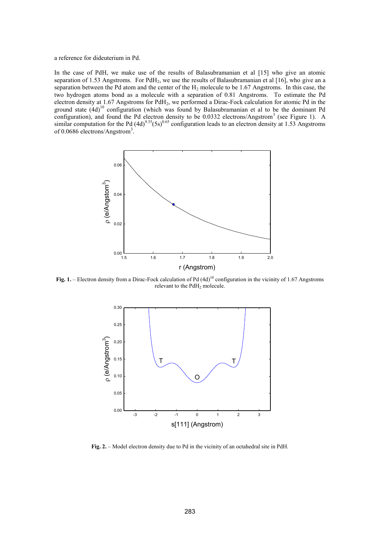a reference for dideuterium in Pd.

In the case of PdH, we make use of the results of Balasubramanian et al [15] who give an atomic separation of 1.53 Angstroms. For PdH<sub>2</sub>, we use the results of Balasubramanian et al [16], who give an a separation between the Pd atom and the center of the  $H_2$  molecule to be 1.67 Angstroms. In this case, the two hydrogen atoms bond as a molecule with a separation of 0.81 Angstroms. To estimate the Pd electron density at 1.67 Angstroms for PdH2, we performed a Dirac-Fock calculation for atomic Pd in the ground state  $(4d)^{10}$  configuration (which was found by Balasubramanian et al to be the dominant Pd configuration), and found the Pd electron density to be  $0.0332$  electrons/Angstrom<sup>3</sup> (see Figure 1). A similar computation for the Pd  $(4d)^{9.35}$ (5s)<sup>0.65</sup> configuration leads to an electron density at 1.53 Angstroms of 0.0686 electrons/Angstrom<sup>3</sup>.



**Fig. 1.** – Electron density from a Dirac-Fock calculation of Pd  $(4d)^{10}$  configuration in the vicinity of 1.67 Angstroms relevant to the PdH<sub>2</sub> molecule.



**Fig. 2.** – Model electron density due to Pd in the vicinity of an octahedral site in PdH.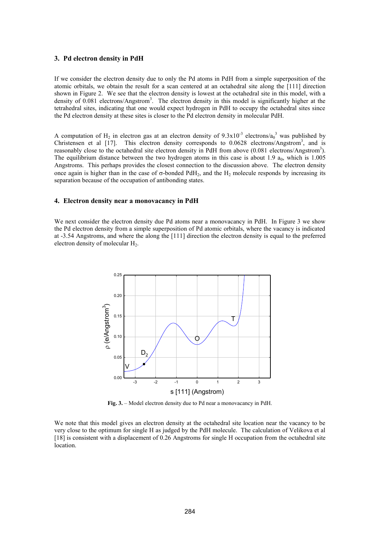## **3. Pd electron density in PdH**

If we consider the electron density due to only the Pd atoms in PdH from a simple superposition of the atomic orbitals, we obtain the result for a scan centered at an octahedral site along the [111] direction shown in Figure 2. We see that the electron density is lowest at the octahedral site in this model, with a density of 0.081 electrons/Angstrom<sup>3</sup>. The electron density in this model is significantly higher at the tetrahedral sites, indicating that one would expect hydrogen in PdH to occupy the octahedral sites since the Pd electron density at these sites is closer to the Pd electron density in molecular PdH.

A computation of H<sub>2</sub> in electron gas at an electron density of  $9.3 \times 10^{-3}$  electrons/a<sub>0</sub><sup>3</sup> was published by Christensen et al [17]. This electron density corresponds to 0.0628 electrons/Angstrom<sup>3</sup>, and is reasonably close to the octahedral site electron density in PdH from above (0.081 electrons/Angstrom<sup>3</sup>). The equilibrium distance between the two hydrogen atoms in this case is about 1.9  $a_0$ , which is 1.005 Angstroms. This perhaps provides the closest connection to the discussion above. The electron density once again is higher than in the case of  $\sigma$ -bonded PdH<sub>2</sub>, and the H<sub>2</sub> molecule responds by increasing its separation because of the occupation of antibonding states.

## **4. Electron density near a monovacancy in PdH**

We next consider the electron density due Pd atoms near a monovacancy in PdH. In Figure 3 we show the Pd electron density from a simple superposition of Pd atomic orbitals, where the vacancy is indicated at -3.54 Angstroms, and where the along the [111] direction the electron density is equal to the preferred electron density of molecular H<sub>2</sub>.



**Fig. 3.** – Model electron density due to Pd near a monovacancy in PdH.

We note that this model gives an electron density at the octahedral site location near the vacancy to be very close to the optimum for single H as judged by the PdH molecule. The calculation of Velikova et al [18] is consistent with a displacement of 0.26 Angstroms for single H occupation from the octahedral site location.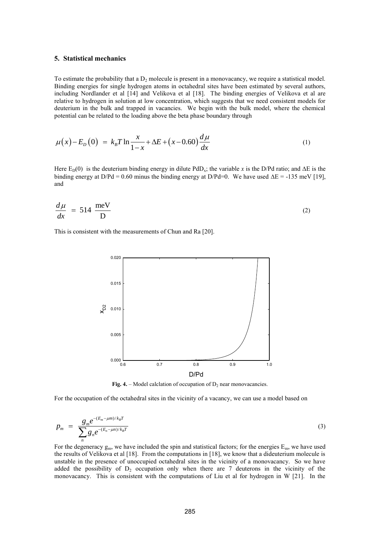#### **5. Statistical mechanics**

To estimate the probability that a  $D_2$  molecule is present in a monovacancy, we require a statistical model. Binding energies for single hydrogen atoms in octahedral sites have been estimated by several authors, including Nordlander et al [14] and Velikova et al [18]. The binding energies of Velikova et al are relative to hydrogen in solution at low concentration, which suggests that we need consistent models for deuterium in the bulk and trapped in vacancies. We begin with the bulk model, where the chemical potential can be related to the loading above the beta phase boundary through

$$
\mu(x) - E_D(0) = k_B T \ln \frac{x}{1 - x} + \Delta E + (x - 0.60) \frac{d\mu}{dx}
$$
\n(1)

Here  $E_D(0)$  is the deuterium binding energy in dilute PdD<sub>x</sub>; the variable x is the D/Pd ratio; and  $\Delta E$  is the binding energy at  $D/Pd = 0.60$  minus the binding energy at  $D/Pd=0$ . We have used  $\Delta E = -135$  meV [19], and

$$
\frac{d\mu}{dx} = 514 \frac{\text{meV}}{\text{D}}
$$
 (2)

This is consistent with the measurements of Chun and Ra [20].



**Fig. 4.** – Model calclation of occupation of  $D_2$  near monovacancies.

For the occupation of the octahedral sites in the vicinity of a vacancy, we can use a model based on

$$
p_m = \frac{g_m e^{-(E_m - \mu m)/k_B T}}{\sum_n g_n e^{-(E_n - \mu m)/k_B T}}
$$
(3)

For the degeneracy  $g_m$ , we have included the spin and statistical factors; for the energies  $E_m$ , we have used the results of Velikova et al [18]. From the computations in [18], we know that a dideuterium molecule is unstable in the presence of unoccupied octahedral sites in the vicinity of a monovacancy. So we have added the possibility of  $D_2$  occupation only when there are 7 deuterons in the vicinity of the monovacancy. This is consistent with the computations of Liu et al for hydrogen in W [21]. In the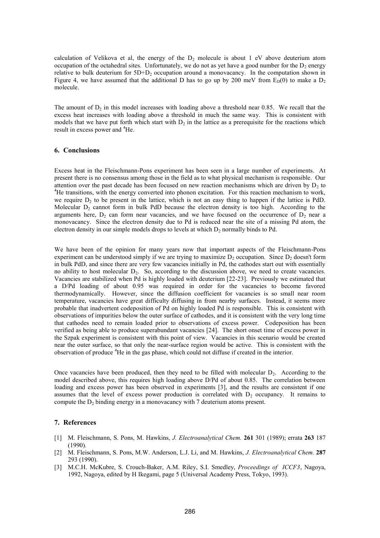calculation of Velikova et al, the energy of the  $D_2$  molecule is about 1 eV above deuterium atom occupation of the octahedral sites. Unfortunately, we do not as yet have a good number for the  $D_2$  energy relative to bulk deuterium for  $5D+D_2$  occupation around a monovacancy. In the computation shown in Figure 4, we have assumed that the additional D has to go up by 200 meV from  $E_D(0)$  to make a D<sub>2</sub> molecule.

The amount of  $D_2$  in this model increases with loading above a threshold near 0.85. We recall that the excess heat increases with loading above a threshold in much the same way. This is consistent with models that we have put forth which start with  $D_2$  in the lattice as a prerequisite for the reactions which result in excess power and <sup>4</sup>He.

## **6. Conclusions**

Excess heat in the Fleischmann-Pons experiment has been seen in a large number of experiments. At present there is no consensus among those in the field as to what physical mechanism is responsible. Our attention over the past decade has been focused on new reaction mechanisms which are driven by  $D_2$  to <sup>4</sup>He transitions, with the energy converted into phonon excitation. For this reaction mechanism to work, we require  $D_2$  to be present in the lattice, which is not an easy thing to happen if the lattice is PdD. Molecular  $D_2$  cannot form in bulk PdD because the electron density is too high. According to the arguments here,  $D_2$  can form near vacancies, and we have focused on the occurrence of  $D_2$  near a monovacancy. Since the electron density due to Pd is reduced near the site of a missing Pd atom, the electron density in our simple models drops to levels at which  $D_2$  normally binds to Pd.

We have been of the opinion for many years now that important aspects of the Fleischmann-Pons experiment can be understood simply if we are trying to maximize  $D_2$  occupation. Since  $D_2$  doesn't form in bulk PdD, and since there are very few vacancies initially in Pd, the cathodes start out with essentially no ability to host molecular  $D<sub>2</sub>$ . So, according to the discussion above, we need to create vacancies. Vacancies are stabilized when Pd is highly loaded with deuterium [22-23]. Previously we estimated that a D/Pd loading of about 0.95 was required in order for the vacancies to become favored thermodynamically. However, since the diffusion coefficient for vacancies is so small near room temperature, vacancies have great difficulty diffusing in from nearby surfaces. Instead, it seems more probable that inadvertent codeposition of Pd on highly loaded Pd is responsible. This is consistent with observations of impurities below the outer surface of cathodes, and it is consistent with the very long time that cathodes need to remain loaded prior to observations of excess power. Codeposition has been verified as being able to produce superabundant vacancies [24]. The short onset time of excess power in the Szpak experiment is consistent with this point of view. Vacancies in this scenario would be created near the outer surface, so that only the near-surface region would be active. This is consistent with the observation of produce <sup>4</sup>He in the gas phase, which could not diffuse if created in the interior.

Once vacancies have been produced, then they need to be filled with molecular  $D_2$ . According to the model described above, this requires high loading above D/Pd of about 0.85. The correlation between loading and excess power has been observed in experiments [3], and the results are consistent if one assumes that the level of excess power production is correlated with  $D_2$  occupancy. It remains to compute the  $D_2$  binding energy in a monovacancy with 7 deuterium atoms present.

## **7. References**

- [1] M. Fleischmann, S. Pons, M. Hawkins, *J. Electroanalytical Chem.* **261** 301 (1989); errata **263** 187 (1990).
- [2] M. Fleischmann, S. Pons, M.W. Anderson, L.J. Li, and M. Hawkins, *J. Electroanalytical Chem.* **287** 293 (1990).
- [3] M.C.H. McKubre, S. Crouch-Baker, A.M. Riley, S.I. Smedley, *Proceedings of ICCF3*, Nagoya, 1992, Nagoya, edited by H Ikegami, page 5 (Universal Academy Press, Tokyo, 1993).